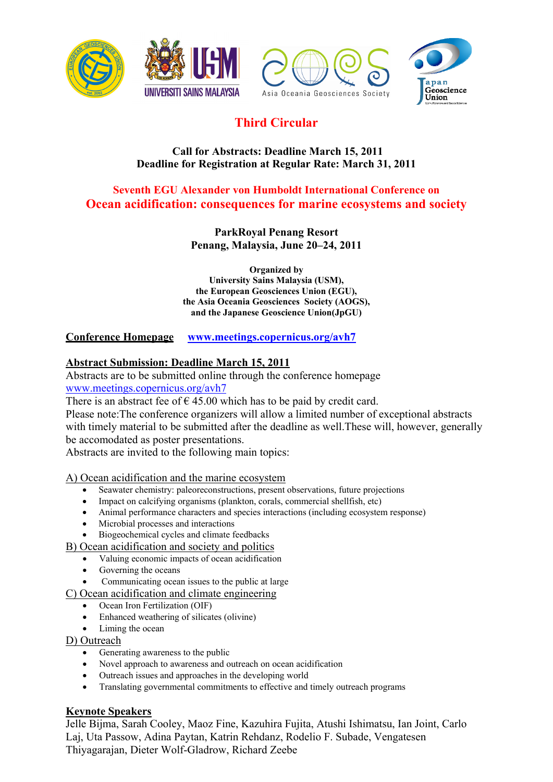







# **Third Circular**

# **Call for Abstracts: Deadline March 15, 2011 Deadline for Registration at Regular Rate: March 31, 2011**

# **Seventh EGU Alexander von Humboldt International Conference on Ocean acidification: consequences for marine ecosystems and society**

**ParkRoyal Penang Resort Penang, Malaysia, June 20–24, 2011** 

**Organized by University Sains Malaysia (USM), the European Geosciences Union (EGU), the Asia Oceania Geosciences Society (AOGS), and the Japanese Geoscience Union(JpGU)** 

**Conference Homepage www.meetings.copernicus.org/avh7** 

# **Abstract Submission: Deadline March 15, 2011**

Abstracts are to be submitted online through the conference homepage www.meetings.copernicus.org/avh7

There is an abstract fee of  $\epsilon$  45.00 which has to be paid by credit card.

Please note:The conference organizers will allow a limited number of exceptional abstracts with timely material to be submitted after the deadline as well.These will, however, generally be accomodated as poster presentations.

Abstracts are invited to the following main topics:

A) Ocean acidification and the marine ecosystem

- Seawater chemistry: paleoreconstructions, present observations, future projections
- Impact on calcifying organisms (plankton, corals, commercial shellfish, etc)
- Animal performance characters and species interactions (including ecosystem response)
- Microbial processes and interactions
- Biogeochemical cycles and climate feedbacks

B) Ocean acidification and society and politics

- Valuing economic impacts of ocean acidification
- Governing the oceans
- Communicating ocean issues to the public at large

C) Ocean acidification and climate engineering

- Ocean Iron Fertilization (OIF)
- Enhanced weathering of silicates (olivine)
- Liming the ocean

D) Outreach

- Generating awareness to the public
- Novel approach to awareness and outreach on ocean acidification
- Outreach issues and approaches in the developing world
- Translating governmental commitments to effective and timely outreach programs

## **Keynote Speakers**

Jelle Bijma, Sarah Cooley, Maoz Fine, Kazuhira Fujita, Atushi Ishimatsu, Ian Joint, Carlo Laj, Uta Passow, Adina Paytan, Katrin Rehdanz, Rodelio F. Subade, Vengatesen Thiyagarajan, Dieter Wolf-Gladrow, Richard Zeebe